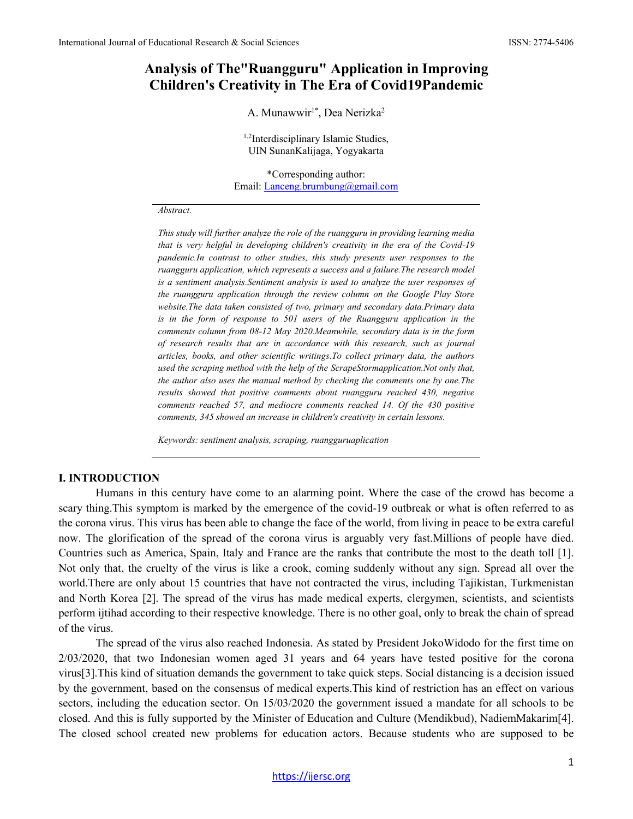# **Analysis of The"Ruangguru" Application in Improving Children's Creativity in The Era of Covid19Pandemic**

A. Munawwir<sup>1\*</sup>, Dea Nerizka<sup>2</sup>

<sup>1,2</sup>Interdisciplinary Islamic Studies, UIN SunanKalijaga, Yogyakarta

\*Corresponding author: Email[: Lanceng.brumbung@gmail.com](mailto:Lanceng.brumbung@gmail.com)

#### *Abstract.*

*This study will further analyze the role of the ruangguru in providing learning media that is very helpful in developing children's creativity in the era of the Covid-19 pandemic.In contrast to other studies, this study presents user responses to the ruangguru application, which represents a success and a failure.The research model is a sentiment analysis.Sentiment analysis is used to analyze the user responses of the ruangguru application through the review column on the Google Play Store website.The data taken consisted of two, primary and secondary data.Primary data is in the form of response to 501 users of the Ruangguru application in the comments column from 08-12 May 2020.Meanwhile, secondary data is in the form of research results that are in accordance with this research, such as journal articles, books, and other scientific writings.To collect primary data, the authors used the scraping method with the help of the ScrapeStormapplication.Not only that, the author also uses the manual method by checking the comments one by one.The results showed that positive comments about ruangguru reached 430, negative comments reached 57, and mediocre comments reached 14. Of the 430 positive comments, 345 showed an increase in children's creativity in certain lessons.*

*Keywords: sentiment analysis, scraping, ruangguruaplication*

### **I. INTRODUCTION**

Humans in this century have come to an alarming point. Where the case of the crowd has become a scary thing.This symptom is marked by the emergence of the covid-19 outbreak or what is often referred to as the corona virus. This virus has been able to change the face of the world, from living in peace to be extra careful now. The glorification of the spread of the corona virus is arguably very fast.Millions of people have died. Countries such as America, Spain, Italy and France are the ranks that contribute the most to the death toll [1]. Not only that, the cruelty of the virus is like a crook, coming suddenly without any sign. Spread all over the world.There are only about 15 countries that have not contracted the virus, including Tajikistan, Turkmenistan and North Korea [2]. The spread of the virus has made medical experts, clergymen, scientists, and scientists perform ijtihad according to their respective knowledge. There is no other goal, only to break the chain of spread of the virus.

The spread of the virus also reached Indonesia. As stated by President JokoWidodo for the first time on 2/03/2020, that two Indonesian women aged 31 years and 64 years have tested positive for the corona virus[3].This kind of situation demands the government to take quick steps. Social distancing is a decision issued by the government, based on the consensus of medical experts.This kind of restriction has an effect on various sectors, including the education sector. On 15/03/2020 the government issued a mandate for all schools to be closed. And this is fully supported by the Minister of Education and Culture (Mendikbud), NadiemMakarim[4]. The closed school created new problems for education actors. Because students who are supposed to be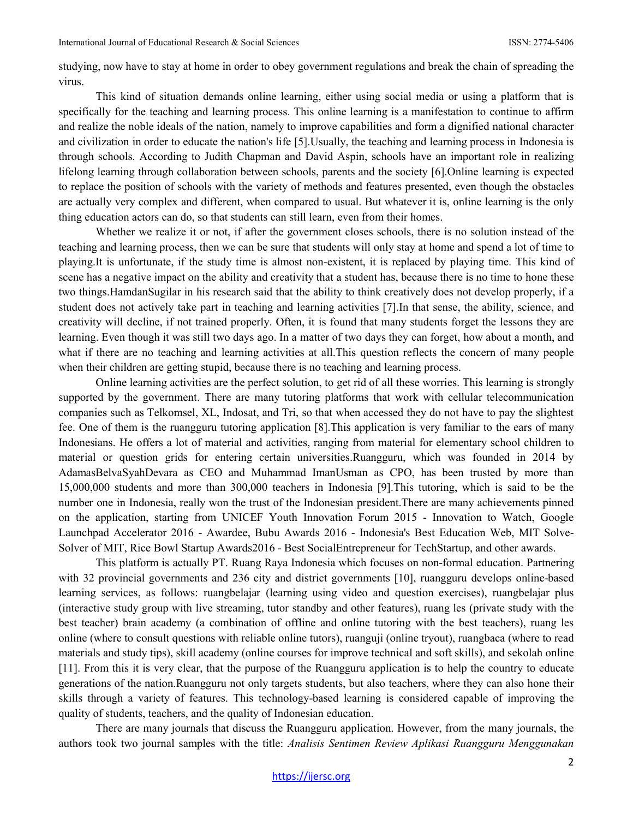studying, now have to stay at home in order to obey government regulations and break the chain of spreading the virus.

This kind of situation demands online learning, either using social media or using a platform that is specifically for the teaching and learning process. This online learning is a manifestation to continue to affirm and realize the noble ideals of the nation, namely to improve capabilities and form a dignified national character and civilization in order to educate the nation's life [5].Usually, the teaching and learning process in Indonesia is through schools. According to Judith Chapman and David Aspin, schools have an important role in realizing lifelong learning through collaboration between schools, parents and the society [6].Online learning is expected to replace the position of schools with the variety of methods and features presented, even though the obstacles are actually very complex and different, when compared to usual. But whatever it is, online learning is the only thing education actors can do, so that students can still learn, even from their homes.

Whether we realize it or not, if after the government closes schools, there is no solution instead of the teaching and learning process, then we can be sure that students will only stay at home and spend a lot of time to playing.It is unfortunate, if the study time is almost non-existent, it is replaced by playing time. This kind of scene has a negative impact on the ability and creativity that a student has, because there is no time to hone these two things.HamdanSugilar in his research said that the ability to think creatively does not develop properly, if a student does not actively take part in teaching and learning activities [7].In that sense, the ability, science, and creativity will decline, if not trained properly. Often, it is found that many students forget the lessons they are learning. Even though it was still two days ago. In a matter of two days they can forget, how about a month, and what if there are no teaching and learning activities at all.This question reflects the concern of many people when their children are getting stupid, because there is no teaching and learning process.

Online learning activities are the perfect solution, to get rid of all these worries. This learning is strongly supported by the government. There are many tutoring platforms that work with cellular telecommunication companies such as Telkomsel, XL, Indosat, and Tri, so that when accessed they do not have to pay the slightest fee. One of them is the ruangguru tutoring application [8].This application is very familiar to the ears of many Indonesians. He offers a lot of material and activities, ranging from material for elementary school children to material or question grids for entering certain universities.Ruangguru, which was founded in 2014 by AdamasBelvaSyahDevara as CEO and Muhammad ImanUsman as CPO, has been trusted by more than 15,000,000 students and more than 300,000 teachers in Indonesia [9].This tutoring, which is said to be the number one in Indonesia, really won the trust of the Indonesian president.There are many achievements pinned on the application, starting from UNICEF Youth Innovation Forum 2015 - Innovation to Watch, Google Launchpad Accelerator 2016 - Awardee, Bubu Awards 2016 - Indonesia's Best Education Web, MIT Solve-Solver of MIT, Rice Bowl Startup Awards2016 - Best SocialEntrepreneur for TechStartup, and other awards.

This platform is actually PT. Ruang Raya Indonesia which focuses on non-formal education. Partnering with 32 provincial governments and 236 city and district governments [10], ruangguru develops online-based learning services, as follows: ruangbelajar (learning using video and question exercises), ruangbelajar plus (interactive study group with live streaming, tutor standby and other features), ruang les (private study with the best teacher) brain academy (a combination of offline and online tutoring with the best teachers), ruang les online (where to consult questions with reliable online tutors), ruanguji (online tryout), ruangbaca (where to read materials and study tips), skill academy (online courses for improve technical and soft skills), and sekolah online [11]. From this it is very clear, that the purpose of the Ruangguru application is to help the country to educate generations of the nation.Ruangguru not only targets students, but also teachers, where they can also hone their skills through a variety of features. This technology-based learning is considered capable of improving the quality of students, teachers, and the quality of Indonesian education.

There are many journals that discuss the Ruangguru application. However, from the many journals, the authors took two journal samples with the title: *Analisis Sentimen Review Aplikasi Ruangguru Menggunakan*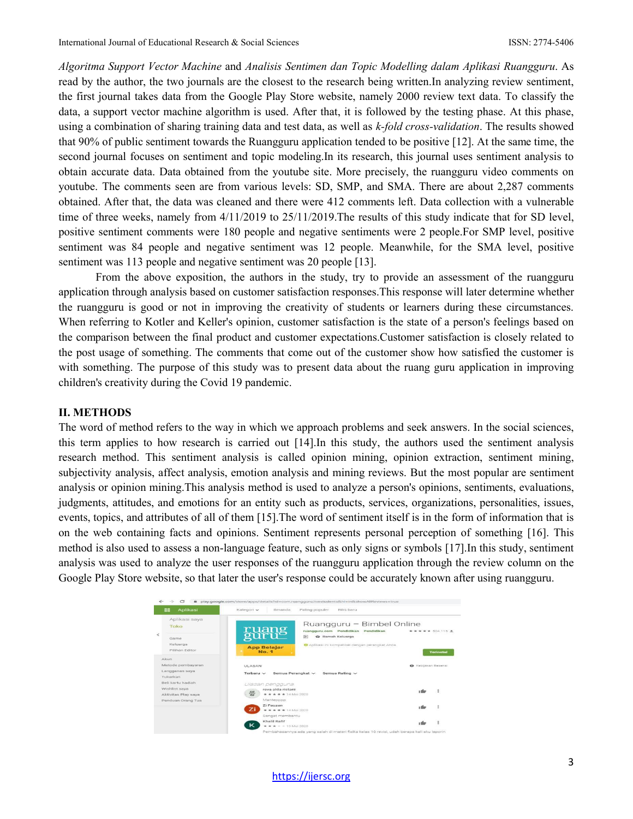*Algoritma Support Vector Machine* and *Analisis Sentimen dan Topic Modelling dalam Aplikasi Ruangguru*. As read by the author, the two journals are the closest to the research being written.In analyzing review sentiment, the first journal takes data from the Google Play Store website, namely 2000 review text data. To classify the data, a support vector machine algorithm is used. After that, it is followed by the testing phase. At this phase, using a combination of sharing training data and test data, as well as *k-fold cross-validation*. The results showed that 90% of public sentiment towards the Ruangguru application tended to be positive [12]. At the same time, the second journal focuses on sentiment and topic modeling.In its research, this journal uses sentiment analysis to obtain accurate data. Data obtained from the youtube site. More precisely, the ruangguru video comments on youtube. The comments seen are from various levels: SD, SMP, and SMA. There are about 2,287 comments obtained. After that, the data was cleaned and there were 412 comments left. Data collection with a vulnerable time of three weeks, namely from 4/11/2019 to 25/11/2019.The results of this study indicate that for SD level, positive sentiment comments were 180 people and negative sentiments were 2 people.For SMP level, positive sentiment was 84 people and negative sentiment was 12 people. Meanwhile, for the SMA level, positive sentiment was 113 people and negative sentiment was 20 people [13].

From the above exposition, the authors in the study, try to provide an assessment of the ruangguru application through analysis based on customer satisfaction responses.This response will later determine whether the ruangguru is good or not in improving the creativity of students or learners during these circumstances. When referring to Kotler and Keller's opinion, customer satisfaction is the state of a person's feelings based on the comparison between the final product and customer expectations.Customer satisfaction is closely related to the post usage of something. The comments that come out of the customer show how satisfied the customer is with something. The purpose of this study was to present data about the ruang guru application in improving children's creativity during the Covid 19 pandemic.

#### **II. METHODS**

The word of method refers to the way in which we approach problems and seek answers. In the social sciences, this term applies to how research is carried out [14].In this study, the authors used the sentiment analysis research method. This sentiment analysis is called opinion mining, opinion extraction, sentiment mining, subjectivity analysis, affect analysis, emotion analysis and mining reviews. But the most popular are sentiment analysis or opinion mining.This analysis method is used to analyze a person's opinions, sentiments, evaluations, judgments, attitudes, and emotions for an entity such as products, services, organizations, personalities, issues, events, topics, and attributes of all of them [15].The word of sentiment itself is in the form of information that is on the web containing facts and opinions. Sentiment represents personal perception of something [16]. This method is also used to assess a non-language feature, such as only signs or symbols [17].In this study, sentiment analysis was used to analyze the user responses of the ruangguru application through the review column on the Google Play Store website, so that later the user's response could be accurately known after using ruangguru.

| 88<br>Aplikasi                                             | Kategori v<br>Beranda<br>Paling populer<br>Rilis baru                                |                            |                  |
|------------------------------------------------------------|--------------------------------------------------------------------------------------|----------------------------|------------------|
| Aplikasi saya<br>Toko                                      | Ruangguru - Bimbel Online                                                            |                            |                  |
| Game                                                       | <b>Euang</b><br>ruangguru.com Pendidikan<br>Pendidikan<br>$[3+]$<br>W Ramah Keluarga | ***** 504 115 *            |                  |
| Keluarga<br>Pilihan Editor                                 | Aplikasi ini kompatibel dengan perangkat Anda.<br><b>App Belajar</b><br><b>No. 1</b> |                            | <b>Terinstal</b> |
| Akun<br>Metode pembayaran                                  |                                                                                      |                            |                  |
| Langganan saya<br>Tukarkan                                 | ULASAN<br>Semua Perangkat ~<br>Semua Rating ~<br>Terbaru $\vee$                      | <b>B</b> Kebijakan Resensi |                  |
| Reli kartu hadiah.<br>Wishlist saya<br>Aktivitas Play saya | Ulasan pengguna<br>reva alda ristani<br>$\frac{1}{2}$<br>******14 Mmi 2020           | $\sim$                     | $\frac{1}{2}$    |
| Panduan Orang Tua                                          | Mantepppp                                                                            |                            |                  |
|                                                            | Zi Fauzan<br>Ζi<br>******14 Mei 2020                                                 | × Co                       | Ξ                |
|                                                            | Sangat membantu                                                                      |                            |                  |
|                                                            | Khalil Rafif<br>к<br>$\star \star \star = 13$ Mei 2020                               |                            |                  |

[https://ijersc.org](https://ijersc.org/)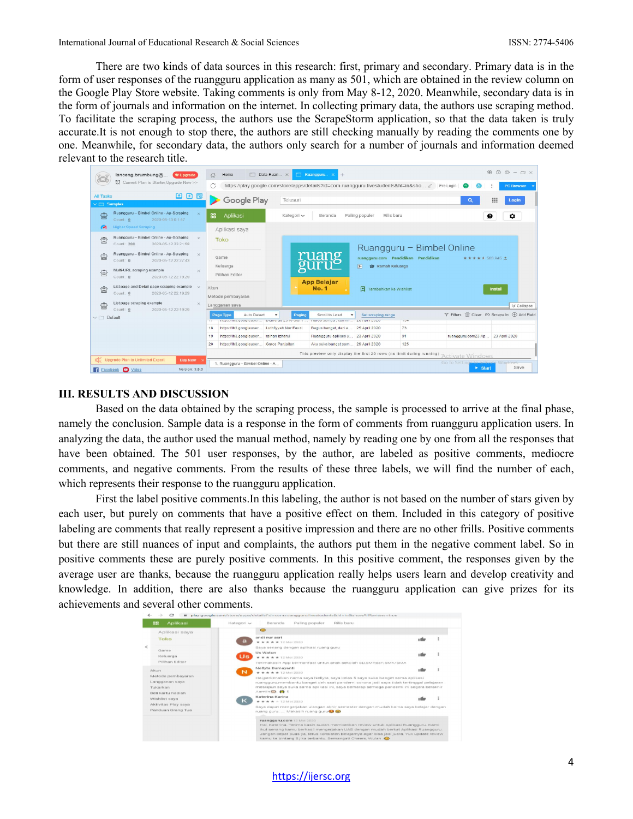There are two kinds of data sources in this research: first, primary and secondary. Primary data is in the form of user responses of the ruangguru application as many as 501, which are obtained in the review column on the Google Play Store website. Taking comments is only from May 8-12, 2020. Meanwhile, secondary data is in the form of journals and information on the internet. In collecting primary data, the authors use scraping method. To facilitate the scraping process, the authors use the ScrapeStorm application, so that the data taken is truly accurate.It is not enough to stop there, the authors are still checking manually by reading the comments one by one. Meanwhile, for secondary data, the authors only search for a number of journals and information deemed relevant to the research title.

|                                           | lanceng.brumbung@<br>W Upgrade                                                                                                   |          | Home<br>奇                                                                                         | $\Box$ Data-Ruan $\times$            | Ruanoguru.<br>$+$                                       |                                              |                           |                        | $M \odot \ddot{\odot} - \Box \times$        |
|-------------------------------------------|----------------------------------------------------------------------------------------------------------------------------------|----------|---------------------------------------------------------------------------------------------------|--------------------------------------|---------------------------------------------------------|----------------------------------------------|---------------------------|------------------------|---------------------------------------------|
|                                           | 包<br>Current Plan is Starter Upgrade Now >>                                                                                      |          | https://play.google.com/store/apps/details?id=com.ruangquru.livestudents&hl=in&sho 2<br>Pre Login |                                      |                                                         |                                              |                           | <b>PC Browser</b>      |                                             |
| <b>All Tasks</b><br>$\vee$ $\Box$ Samples | 凹田园                                                                                                                              |          | Google Play                                                                                       | Telusuri                             |                                                         |                                              |                           | Q                      | ₩<br>Login                                  |
| 賣                                         | Ruangguru - Bimbel Online - Ap-Scraping<br>$\times$<br>2020-05-13 0:1:57<br>Count: 0                                             |          | 噐<br>Aplikasi                                                                                     | Kategori v                           | Beranda                                                 | Paling populer<br>Rilis baru                 |                           |                        | Ω<br>٠                                      |
| æ                                         | <b>Higher Speed Scraping</b>                                                                                                     |          | Aplikasi saya                                                                                     |                                      |                                                         |                                              |                           |                        |                                             |
| 耍                                         | Ruangguru - Bimbel Online - Ap-Scraping<br>$\times$<br>2020-05-12 23:21:58<br>Count: 200                                         |          | Toko                                                                                              |                                      |                                                         |                                              | Ruangguru - Bimbel Online |                        |                                             |
| 負                                         | Ruangguru - Bimbel Online - Ap-Scraping<br>$\overline{\mathbf{x}}$<br>2020-05-12 22:27:43<br>Count: 0                            |          | Game                                                                                              |                                      | าวลา                                                    | ruangguru.com Pendidikan Pendidikan          |                           | ★ ★ ★ ★ 1 503.945 ±    |                                             |
| 賣                                         | Multi-URL scraping example<br>Count: 0<br>2020-05-12 22:19:29                                                                    | $\times$ | Keluarga<br>Pilihan Editor                                                                        |                                      | <b>App Belajar</b>                                      | $3+$<br><b>@</b> Ramah Keluarga              |                           |                        |                                             |
| 虫                                         | List page and Detail page scraping example x<br>Count: 0<br>2020-05-12 22:19:29                                                  |          | Akun<br>Metode pembayaran                                                                         |                                      | <b>No. 1</b>                                            | 囝<br>Tambahkan ke Wishlist                   |                           |                        | <b>Instal</b>                               |
| 雲                                         | List page scraping example<br>Count: 0<br>2020-05-12 22:19:29                                                                    | $\times$ | Langganan saya                                                                                    |                                      |                                                         |                                              |                           |                        | V Collapse                                  |
| $\vee$ $\Box$ Default                     |                                                                                                                                  |          | Auto Detect<br>Page Type<br><b>TERRA 2011 M. SEMMIN IN MONT.</b>                                  | Paging<br><b>MURINHALLY TV USH 1</b> | Scroll to Load<br><b>FIGHTHA SPECIFIEDS COMMITTEELL</b> | Set scraping range<br><b>CM / MATH CM CM</b> | $1 - 7$                   |                        | Filters III Clear @ Scrape In (+) Add Field |
|                                           |                                                                                                                                  |          | 18<br>https://lh3.googleuser Luthfiyyah Nur Fauzi                                                 |                                      | Bagus banget, dari a                                    | 25 April 2020                                | 73                        |                        |                                             |
|                                           |                                                                                                                                  |          | 19<br>https://lh3.googleuser raihan izharul                                                       |                                      | Ruangguru aplikasi y                                    | 23 April 2020                                | 91                        | ruangguru.com23 Ap     | 23 April 2020                               |
|                                           |                                                                                                                                  |          | https://lh3.googleuser<br>20                                                                      | Grace Panjaitan                      | Aku suka banget sam                                     | 29 April 2020                                | 125                       |                        |                                             |
|                                           | This preview only display the first 20 rows (no limit during running)<br>Activate Windows                                        |          |                                                                                                   |                                      |                                                         |                                              |                           |                        |                                             |
|                                           | [ Chegrade Plan to Unlimited Export<br><b>Buy Now</b><br>Go to Settings to activate Windows.<br>1. Ruangguru - Bimbel Online - A |          |                                                                                                   |                                      |                                                         |                                              |                           |                        |                                             |
|                                           | <b>E1 Facebook @ Video</b><br>Version: 3.5.0                                                                                     |          |                                                                                                   |                                      |                                                         |                                              |                           | $\triangleright$ Start | Save                                        |

### **III. RESULTS AND DISCUSSION**

Based on the data obtained by the scraping process, the sample is processed to arrive at the final phase, namely the conclusion. Sample data is a response in the form of comments from ruangguru application users. In analyzing the data, the author used the manual method, namely by reading one by one from all the responses that have been obtained. The 501 user responses, by the author, are labeled as positive comments, mediocre comments, and negative comments. From the results of these three labels, we will find the number of each, which represents their response to the ruangguru application.

First the label positive comments.In this labeling, the author is not based on the number of stars given by each user, but purely on comments that have a positive effect on them. Included in this category of positive labeling are comments that really represent a positive impression and there are no other frills. Positive comments but there are still nuances of input and complaints, the authors put them in the negative comment label. So in positive comments these are purely positive comments. In this positive comment, the responses given by the average user are thanks, because the ruangguru application really helps users learn and develop creativity and knowledge. In addition, there are also thanks because the ruangguru application can give prizes for its achievements and several other comments.



[https://ijersc.org](https://ijersc.org/)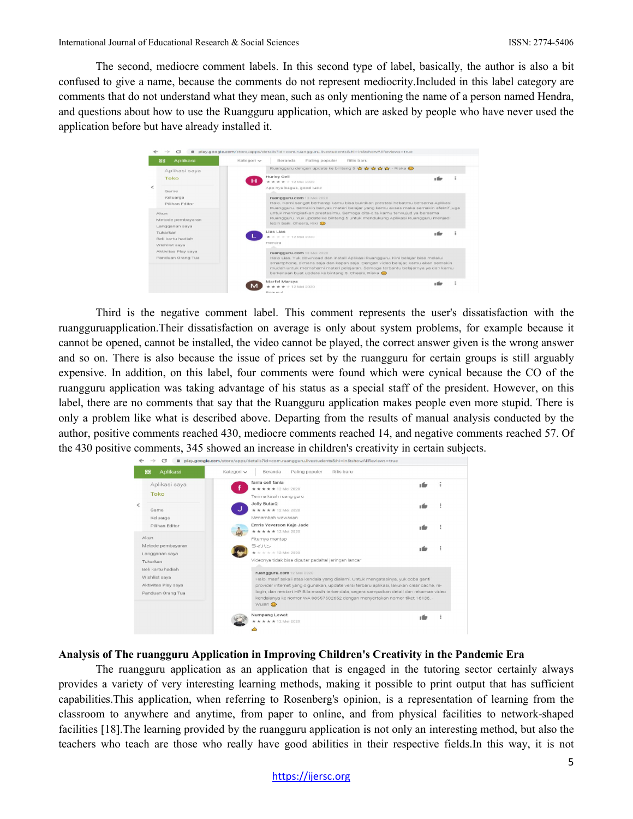The second, mediocre comment labels. In this second type of label, basically, the author is also a bit confused to give a name, because the comments do not represent mediocrity.Included in this label category are comments that do not understand what they mean, such as only mentioning the name of a person named Hendra, and questions about how to use the Ruangguru application, which are asked by people who have never used the application before but have already installed it.

| Aplikasi<br>88                               | Kategori v<br>Beranda                     | Paling populer<br>Rilis baru                                                                                                                                                                                                                                                                               |        |  |
|----------------------------------------------|-------------------------------------------|------------------------------------------------------------------------------------------------------------------------------------------------------------------------------------------------------------------------------------------------------------------------------------------------------------|--------|--|
| Aplikasi saya                                |                                           | Ruangguru dengan update ke bintang 5 19 19 19 19 19 19 19 - Riska                                                                                                                                                                                                                                          |        |  |
| Toko                                         | Hurley Cell<br>н<br>* * * * * 12 Mei 2020 |                                                                                                                                                                                                                                                                                                            |        |  |
| Game                                         | App nya bagus, good luck!                 |                                                                                                                                                                                                                                                                                                            |        |  |
| Keluarga<br>Piliban Editor                   | ruangguru.com 13 Mei 2020                 | Halo, Kami sangat berharap kamu bisa buktikan prestasi hebatmu bersama Aplikasi<br>Ruangguru. Semakin banyak materi belajar yang kamu akses maka semakin efektif juga                                                                                                                                      |        |  |
| Alcun<br>Metode pembayaran<br>Langganan saya | lebih baik, Cheers, Kiki (D)              | untuk meningkatkan prestasimu. Semoga cita-cita kamu terwujud ya bersama<br>Ruangguru. Yuk update ke bintang 5 untuk mendukung Aplikasi Ruangguru menjadi                                                                                                                                                  |        |  |
| Tukarkan<br>Bell kartu hadiah                | Lies Lies<br>* * * * 12 Mei 2020          |                                                                                                                                                                                                                                                                                                            | 1 film |  |
| Wishlist sava                                | Hendra                                    |                                                                                                                                                                                                                                                                                                            |        |  |
| Aktivitas Play saya<br>Panduan Orang Tua     | ruangguru.com 13 Mei 2020                 | Halo Lias. Yuk download dan install Aplikasi Ruangguru. Kini belajar bisa melalui<br>smartphone, dimana saja dan kapan saja. Dengan video belajar, kamu akan semakin<br>mudah untuk memahami materi pelajaran. Semoga terbantu belajarnya ya dan kamu<br>berkenaan buat update ke bintang 5. Cheers, Riska |        |  |
|                                              | Marfel Marsya                             |                                                                                                                                                                                                                                                                                                            |        |  |

Third is the negative comment label. This comment represents the user's dissatisfaction with the ruangguruapplication.Their dissatisfaction on average is only about system problems, for example because it cannot be opened, cannot be installed, the video cannot be played, the correct answer given is the wrong answer and so on. There is also because the issue of prices set by the ruangguru for certain groups is still arguably expensive. In addition, on this label, four comments were found which were cynical because the CO of the ruangguru application was taking advantage of his status as a special staff of the president. However, on this label, there are no comments that say that the Ruangguru application makes people even more stupid. There is only a problem like what is described above. Departing from the results of manual analysis conducted by the author, positive comments reached 430, mediocre comments reached 14, and negative comments reached 57. Of the 430 positive comments, 345 showed an increase in children's creativity in certain subjects.

|                                                                                | c<br>٠                                          | play.google.com/store/apps/details?id=com.ruangguru.livestudents&hl=in&showAllReviews=true                                                                                                                                                                                                                                                                                                     |       |  |  |  |  |
|--------------------------------------------------------------------------------|-------------------------------------------------|------------------------------------------------------------------------------------------------------------------------------------------------------------------------------------------------------------------------------------------------------------------------------------------------------------------------------------------------------------------------------------------------|-------|--|--|--|--|
|                                                                                | 88<br>Aplikasi<br>Kategori v                    | Beranda<br>Paling populer<br>Rilis baru                                                                                                                                                                                                                                                                                                                                                        |       |  |  |  |  |
|                                                                                | Aplikasi saya<br>Toko                           | fania cell fania<br>*****12 Mei 2020<br>Terima kasih ruang guru                                                                                                                                                                                                                                                                                                                                | uf s  |  |  |  |  |
| <                                                                              | Game<br>Keluarga                                | Jolly Butar2<br>*****12 Mei 2020<br>Menambah wawasan                                                                                                                                                                                                                                                                                                                                           | ٠ń    |  |  |  |  |
|                                                                                | Pilihan Editor<br>Akun                          | Emris Yeverson Kaja Jade<br>★ ★ ★ ★ ★ 12 Mei 2020                                                                                                                                                                                                                                                                                                                                              | ×.    |  |  |  |  |
|                                                                                | Metode pembayaran<br>Langganan saya<br>Tukarkan | Fiturnya mantap<br>ライハン<br>* * * * 12 Mei 2020<br>Videonya tidak bisa diputar padahal jaringan lancar                                                                                                                                                                                                                                                                                          | ٠n    |  |  |  |  |
| Reli kartu hadiah<br>Wishlist saya<br>Aktivitas Play saya<br>Panduan Orang Tua |                                                 | ruangguru.com 12 Mei 2020<br>Halo, maaf sekali atas kendala yang dialami. Untuk mengatasinya, yuk coba ganti<br>provider internet yang digunakan, update versi terbaru aplikasi, lakukan clear cache, re-<br>login, dan re-start HP, Bila masih terkendala, segera sampaikan detail dan rekaman video<br>kendalanya ke nomor WA 08557502652 dengan menyertakan nomor tiket 16136. -<br>Wulan @ |       |  |  |  |  |
|                                                                                |                                                 | Numpang Lewat<br>★ ★ ★ ★ 12 Mei 2020<br>∽                                                                                                                                                                                                                                                                                                                                                      | ı fiz |  |  |  |  |

# **Analysis of The ruangguru Application in Improving Children's Creativity in the Pandemic Era**

The ruangguru application as an application that is engaged in the tutoring sector certainly always provides a variety of very interesting learning methods, making it possible to print output that has sufficient capabilities.This application, when referring to Rosenberg's opinion, is a representation of learning from the classroom to anywhere and anytime, from paper to online, and from physical facilities to network-shaped facilities [18].The learning provided by the ruangguru application is not only an interesting method, but also the teachers who teach are those who really have good abilities in their respective fields.In this way, it is not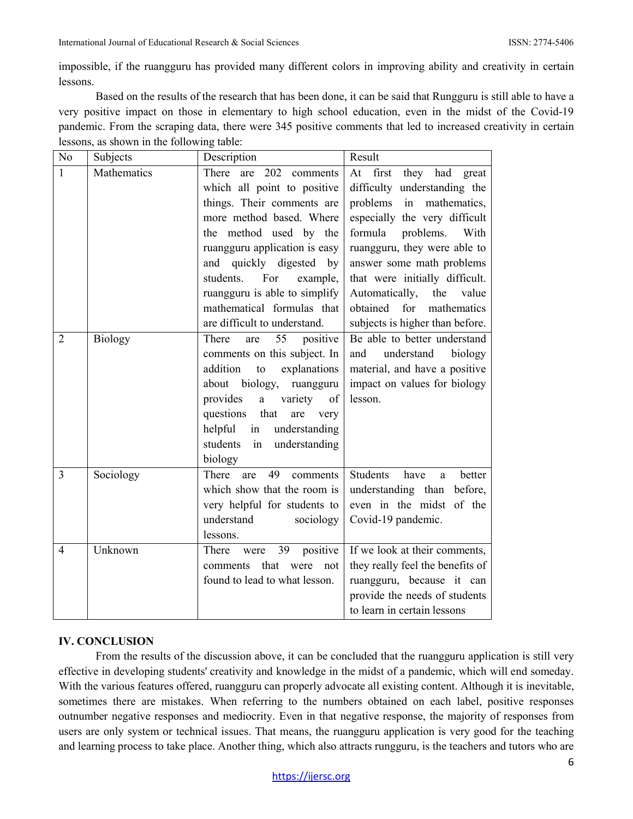impossible, if the ruangguru has provided many different colors in improving ability and creativity in certain lessons.

Based on the results of the research that has been done, it can be said that Rungguru is still able to have a very positive impact on those in elementary to high school education, even in the midst of the Covid-19 pandemic. From the scraping data, there were 345 positive comments that led to increased creativity in certain lessons, as shown in the following table:

| No             | Subjects    | Description                                                                                                                                                                                                                                                                                                                          | Result                                                                                                                                                                                                                                                                                                                                                     |
|----------------|-------------|--------------------------------------------------------------------------------------------------------------------------------------------------------------------------------------------------------------------------------------------------------------------------------------------------------------------------------------|------------------------------------------------------------------------------------------------------------------------------------------------------------------------------------------------------------------------------------------------------------------------------------------------------------------------------------------------------------|
| $\mathbf{1}$   | Mathematics | There are 202 comments<br>which all point to positive<br>things. Their comments are<br>more method based. Where<br>the method used by the<br>ruangguru application is easy<br>and quickly digested by<br>students.<br>For<br>example,<br>ruangguru is able to simplify<br>mathematical formulas that<br>are difficult to understand. | At first they had great<br>difficulty understanding the<br>problems in mathematics,<br>especially the very difficult<br>formula<br>problems.<br>With<br>ruangguru, they were able to<br>answer some math problems<br>that were initially difficult.<br>Automatically,<br>the<br>value<br>for<br>obtained<br>mathematics<br>subjects is higher than before. |
| $\overline{2}$ | Biology     | There<br>55<br>positive<br>are<br>comments on this subject. In<br>addition<br>to<br>explanations<br>about biology,<br>ruangguru<br>provides a variety<br>of<br>questions<br>that<br>are<br>very<br>helpful in<br>understanding<br>students in<br>understanding<br>biology                                                            | Be able to better understand<br>understand<br>and<br>biology<br>material, and have a positive<br>impact on values for biology<br>lesson.                                                                                                                                                                                                                   |
| 3              | Sociology   | 49<br>There<br>comments<br>are<br>which show that the room is<br>very helpful for students to<br>understand<br>sociology<br>lessons.                                                                                                                                                                                                 | <b>Students</b><br>have<br>better<br>a.<br>understanding than before,<br>even in the midst of the<br>Covid-19 pandemic.                                                                                                                                                                                                                                    |
| $\overline{4}$ | Unknown     | 39<br>positive<br>There<br>were<br>that<br>were<br>not<br>comments<br>found to lead to what lesson.                                                                                                                                                                                                                                  | If we look at their comments,<br>they really feel the benefits of<br>ruangguru, because it can<br>provide the needs of students<br>to learn in certain lessons                                                                                                                                                                                             |

## **IV. CONCLUSION**

From the results of the discussion above, it can be concluded that the ruangguru application is still very effective in developing students' creativity and knowledge in the midst of a pandemic, which will end someday. With the various features offered, ruangguru can properly advocate all existing content. Although it is inevitable, sometimes there are mistakes. When referring to the numbers obtained on each label, positive responses outnumber negative responses and mediocrity. Even in that negative response, the majority of responses from users are only system or technical issues. That means, the ruangguru application is very good for the teaching and learning process to take place. Another thing, which also attracts rungguru, is the teachers and tutors who are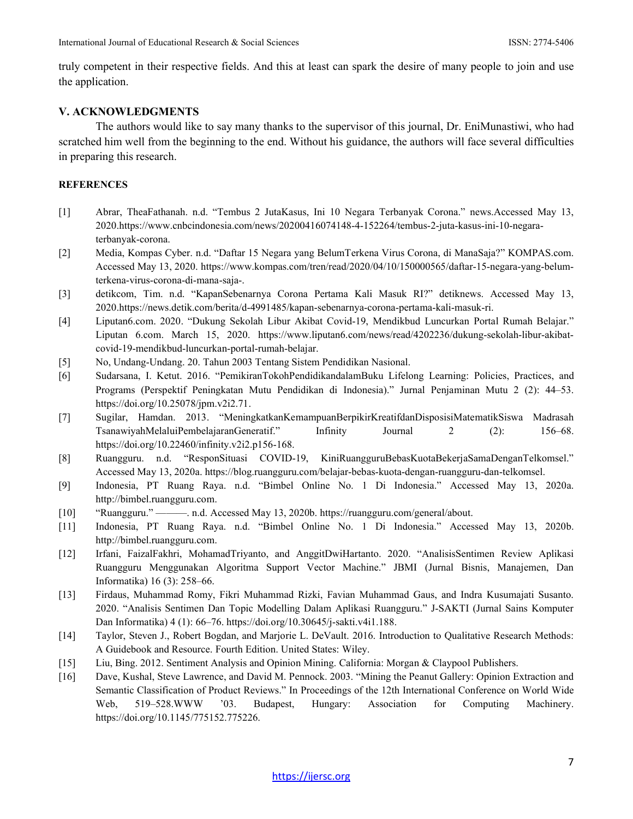truly competent in their respective fields. And this at least can spark the desire of many people to join and use the application.

#### **V. ACKNOWLEDGMENTS**

The authors would like to say many thanks to the supervisor of this journal, Dr. EniMunastiwi, who had scratched him well from the beginning to the end. Without his guidance, the authors will face several difficulties in preparing this research.

#### **REFERENCES**

- [1] Abrar, TheaFathanah. n.d. "Tembus 2 JutaKasus, Ini 10 Negara Terbanyak Corona." news.Accessed May 13, 2020[.https://www.cnbcindonesia.com/news/20200416074148-4-152264/tembus-2-juta-kasus-ini-10-negara](https://www.cnbcindonesia.com/news/20200416074148-4-152264/tembus-2-juta-kasus-ini-10-negara-terbanyak-corona)[terbanyak-corona.](https://www.cnbcindonesia.com/news/20200416074148-4-152264/tembus-2-juta-kasus-ini-10-negara-terbanyak-corona)
- [2] Media, Kompas Cyber. n.d. "Daftar 15 Negara yang BelumTerkena Virus Corona, di ManaSaja?" KOMPAS.com. Accessed May 13, 2020. [https://www.kompas.com/tren/read/2020/04/10/150000565/daftar-15-negara-yang-belum](https://www.kompas.com/tren/read/2020/04/10/150000565/daftar-15-negara-yang-belum-terkena-virus-corona-di-mana-saja-)[terkena-virus-corona-di-mana-saja-.](https://www.kompas.com/tren/read/2020/04/10/150000565/daftar-15-negara-yang-belum-terkena-virus-corona-di-mana-saja-)
- [3] detikcom, Tim. n.d. "KapanSebenarnya Corona Pertama Kali Masuk RI?" detiknews. Accessed May 13, 2020[.https://news.detik.com/berita/d-4991485/kapan-sebenarnya-corona-pertama-kali-masuk-ri.](https://news.detik.com/berita/d-4991485/kapan-sebenarnya-corona-pertama-kali-masuk-ri)
- [4] Liputan6.com. 2020. "Dukung Sekolah Libur Akibat Covid-19, Mendikbud Luncurkan Portal Rumah Belajar." Liputan 6.com. March 15, 2020. [https://www.liputan6.com/news/read/4202236/dukung-sekolah-libur-akibat](https://www.liputan6.com/news/read/4202236/dukung-sekolah-libur-akibat-covid-19-mendikbud-luncurkan-portal-rumah-belajar)[covid-19-mendikbud-luncurkan-portal-rumah-belajar.](https://www.liputan6.com/news/read/4202236/dukung-sekolah-libur-akibat-covid-19-mendikbud-luncurkan-portal-rumah-belajar)
- [5] No, Undang-Undang. 20. Tahun 2003 Tentang Sistem Pendidikan Nasional.
- [6] Sudarsana, I. Ketut. 2016. "PemikiranTokohPendidikandalamBuku Lifelong Learning: Policies, Practices, and Programs (Perspektif Peningkatan Mutu Pendidikan di Indonesia)." Jurnal Penjaminan Mutu 2 (2): 44–53. [https://doi.org/10.25078/jpm.v2i2.71.](https://doi.org/10.25078/jpm.v2i2.71)
- [7] Sugilar, Hamdan. 2013. "MeningkatkanKemampuanBerpikirKreatifdanDisposisiMatematikSiswa Madrasah TsanawiyahMelaluiPembelajaranGeneratif." Infinity Journal 2 (2): 156–68. [https://doi.org/10.22460/infinity.v2i2.p156-168.](https://doi.org/10.22460/infinity.v2i2.p156-168)
- [8] Ruangguru. n.d. "ResponSituasi COVID-19, KiniRuangguruBebasKuotaBekerjaSamaDenganTelkomsel." Accessed May 13, 2020a. [https://blog.ruangguru.com/belajar-bebas-kuota-dengan-ruangguru-dan-telkomsel.](https://blog.ruangguru.com/belajar-bebas-kuota-dengan-ruangguru-dan-telkomsel)
- [9] Indonesia, PT Ruang Raya. n.d. "Bimbel Online No. 1 Di Indonesia." Accessed May 13, 2020a. [http://bimbel.ruangguru.com.](http://bimbel.ruangguru.com/)
- [10] "Ruangguru." ———. n.d. Accessed May 13, 2020b. [https://ruangguru.com/general/about.](https://ruangguru.com/general/about)
- [11] Indonesia, PT Ruang Raya. n.d. "Bimbel Online No. 1 Di Indonesia." Accessed May 13, 2020b. [http://bimbel.ruangguru.com.](http://bimbel.ruangguru.com/)
- [12] Irfani, FaizalFakhri, MohamadTriyanto, and AnggitDwiHartanto. 2020. "AnalisisSentimen Review Aplikasi Ruangguru Menggunakan Algoritma Support Vector Machine." JBMI (Jurnal Bisnis, Manajemen, Dan Informatika) 16 (3): 258–66.
- [13] Firdaus, Muhammad Romy, Fikri Muhammad Rizki, Favian Muhammad Gaus, and Indra Kusumajati Susanto. 2020. "Analisis Sentimen Dan Topic Modelling Dalam Aplikasi Ruangguru." J-SAKTI (Jurnal Sains Komputer Dan Informatika) 4 (1): 66–76. [https://doi.org/10.30645/j-sakti.v4i1.188.](https://doi.org/10.30645/j-sakti.v4i1.188)
- [14] Taylor, Steven J., Robert Bogdan, and Marjorie L. DeVault. 2016. Introduction to Qualitative Research Methods: A Guidebook and Resource. Fourth Edition. United States: Wiley.
- [15] Liu, Bing. 2012. Sentiment Analysis and Opinion Mining. California: Morgan & Claypool Publishers.
- [16] Dave, Kushal, Steve Lawrence, and David M. Pennock. 2003. "Mining the Peanut Gallery: Opinion Extraction and Semantic Classification of Product Reviews." In Proceedings of the 12th International Conference on World Wide Web, 519–528.WWW '03. Budapest, Hungary: Association for Computing Machinery. [https://doi.org/10.1145/775152.775226.](https://doi.org/10.1145/775152.775226)